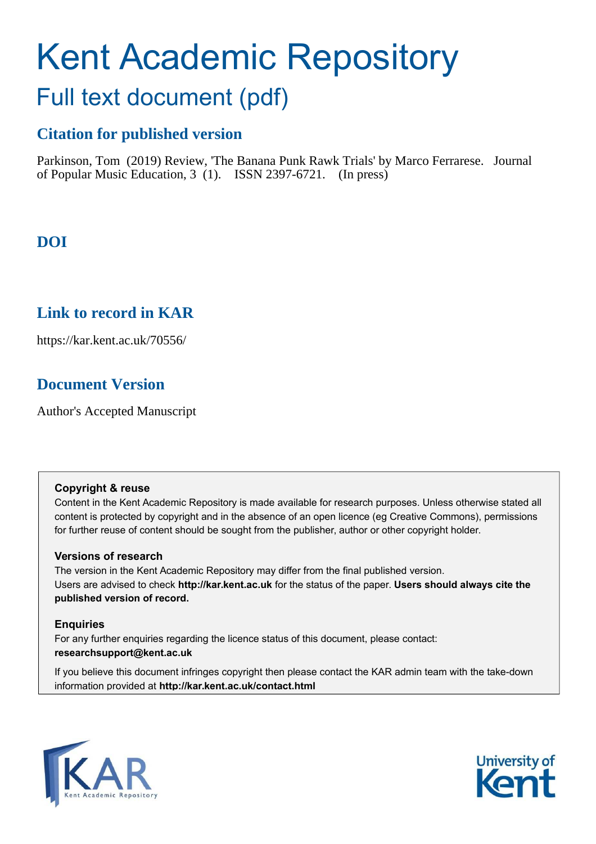# Kent Academic Repository

## Full text document (pdf)

## **Citation for published version**

Parkinson, Tom (2019) Review, 'The Banana Punk Rawk Trials' by Marco Ferrarese. Journal of Popular Music Education, 3 (1). ISSN 2397-6721. (In press)

## **DOI**

## **Link to record in KAR**

https://kar.kent.ac.uk/70556/

## **Document Version**

Author's Accepted Manuscript

#### **Copyright & reuse**

Content in the Kent Academic Repository is made available for research purposes. Unless otherwise stated all content is protected by copyright and in the absence of an open licence (eg Creative Commons), permissions for further reuse of content should be sought from the publisher, author or other copyright holder.

#### **Versions of research**

The version in the Kent Academic Repository may differ from the final published version. Users are advised to check **http://kar.kent.ac.uk** for the status of the paper. **Users should always cite the published version of record.**

#### **Enquiries**

For any further enquiries regarding the licence status of this document, please contact: **researchsupport@kent.ac.uk**

If you believe this document infringes copyright then please contact the KAR admin team with the take-down information provided at **http://kar.kent.ac.uk/contact.html**



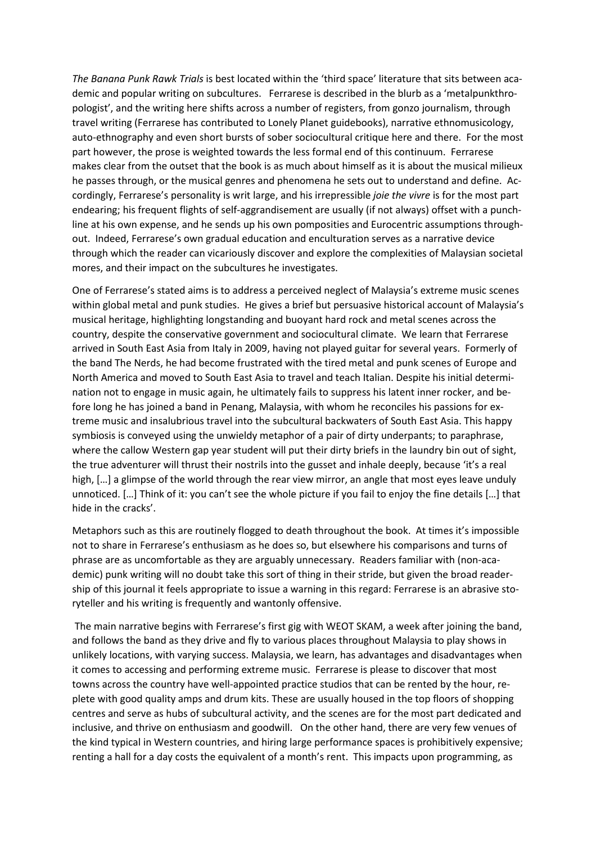*The Banana Punk Rawk Trials* is best located within the 'third space' literature that sits between academic and popular writing on subcultures. Ferrarese is described in the blurb as a 'metalpunkthropologist', and the writing here shifts across a number of registers, from gonzo journalism, through travel writing (Ferrarese has contributed to Lonely Planet guidebooks), narrative ethnomusicology, auto-ethnography and even short bursts of sober sociocultural critique here and there. For the most part however, the prose is weighted towards the less formal end of this continuum. Ferrarese makes clear from the outset that the book is as much about himself as it is about the musical milieux he passes through, or the musical genres and phenomena he sets out to understand and define. Accordingly, Ferrarese's personality is writ large, and his irrepressible *joie the vivre* is for the most part endearing; his frequent flights of self-aggrandisement are usually (if not always) offset with a punchline at his own expense, and he sends up his own pomposities and Eurocentric assumptions throughout. Indeed, Ferrarese's own gradual education and enculturation serves as a narrative device through which the reader can vicariously discover and explore the complexities of Malaysian societal mores, and their impact on the subcultures he investigates.

One of Ferrarese's stated aims is to address a perceived neglect of Malaysia's extreme music scenes within global metal and punk studies. He gives a brief but persuasive historical account of Malaysia's musical heritage, highlighting longstanding and buoyant hard rock and metal scenes across the country, despite the conservative government and sociocultural climate. We learn that Ferrarese arrived in South East Asia from Italy in 2009, having not played guitar for several years. Formerly of the band The Nerds, he had become frustrated with the tired metal and punk scenes of Europe and North America and moved to South East Asia to travel and teach Italian. Despite his initial determination not to engage in music again, he ultimately fails to suppress his latent inner rocker, and before long he has joined a band in Penang, Malaysia, with whom he reconciles his passions for extreme music and insalubrious travel into the subcultural backwaters of South East Asia. This happy symbiosis is conveyed using the unwieldy metaphor of a pair of dirty underpants; to paraphrase, where the callow Western gap year student will put their dirty briefs in the laundry bin out of sight, the true adventurer will thrust their nostrils into the gusset and inhale deeply, because 'it's a real high, [...] a glimpse of the world through the rear view mirror, an angle that most eyes leave unduly unnoticed. [...] Think of it: you can't see the whole picture if you fail to enjoy the fine details [...] that hide in the cracks'.

Metaphors such as this are routinely flogged to death throughout the book. At times it's impossible not to share in Ferrarese's enthusiasm as he does so, but elsewhere his comparisons and turns of phrase are as uncomfortable as they are arguably unnecessary. Readers familiar with (non-academic) punk writing will no doubt take this sort of thing in their stride, but given the broad readership of this journal it feels appropriate to issue a warning in this regard: Ferrarese is an abrasive storyteller and his writing is frequently and wantonly offensive.

The main narrative begins with Ferrarese's first gig with WEOT SKAM, a week after joining the band, and follows the band as they drive and fly to various places throughout Malaysia to play shows in unlikely locations, with varying success. Malaysia, we learn, has advantages and disadvantages when it comes to accessing and performing extreme music. Ferrarese is please to discover that most towns across the country have well-appointed practice studios that can be rented by the hour, replete with good quality amps and drum kits. These are usually housed in the top floors of shopping centres and serve as hubs of subcultural activity, and the scenes are for the most part dedicated and inclusive, and thrive on enthusiasm and goodwill. On the other hand, there are very few venues of the kind typical in Western countries, and hiring large performance spaces is prohibitively expensive; renting a hall for a day costs the equivalent of a month's rent. This impacts upon programming, as